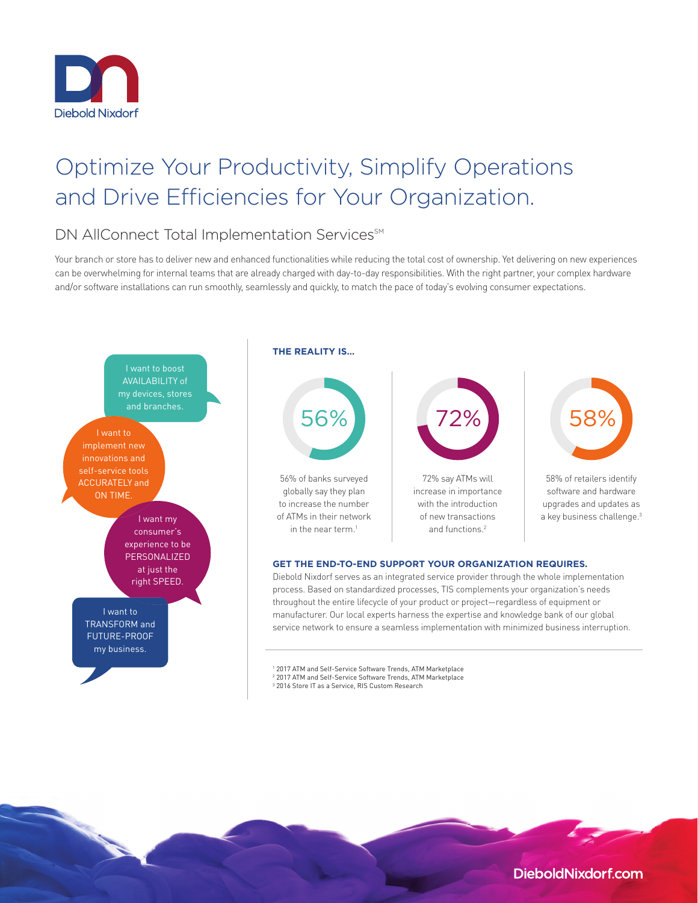

# Optimize Your Productivity, Simplify Operations and Drive Efficiencies for Your Organization.

## DN AllConnect Total Implementation Services<sup>SM</sup>

Your branch or store has to deliver new and enhanced functionalities while reducing the total cost of ownership. Yet delivering on new experiences can be overwhelming for internal teams that are already charged with day-to-day responsibilities. With the right partner, your complex hardware and/or software installations can run smoothly, seamlessly and quickly, to match the pace of today's evolving consumer expectations.



<sup>&</sup>lt;sup>1</sup> 2017 ATM and Self-Service Software Trends, ATM Marketplace 2 2017 ATM and Self-Service Software Trends, ATM Marketplace